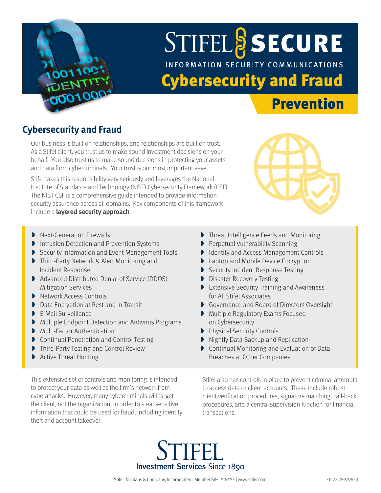

# **STIFELS SECURE** INFORMATION SECURITY COMMUNICATIONS Cybersecurity and Fraud

### Prevention

#### **Cybersecurity and Fraud**

Our business is built on relationships, and relationships are built on trust. As a Stifel client, you trust us to make sound investment decisions on your behalf. You also trust us to make sound decisions in protecting your assets and data from cybercriminals. Your trust is our most important asset.

Stifel takes this responsibility very seriously and leverages the National Institute of Standards and Technology (NIST) Cybersecurity Framework (CSF). The NIST CSF is a comprehensive guide intended to provide information security assurance across all domains. Key components of this framework include a **layered security approach**.



- **Next-Generation Firewalls**
- **Intrusion Detection and Prevention Systems**
- » Security Information and Event Management Tools
- **Third-Party Network & Alert Monitoring and** Incident Response
- » Advanced Distributed Denial of Service (DDOS) Mitigation Services
- **Network Access Controls**
- » Data Encryption at Rest and in Transit
- » E-Mail Surveillance
- » Multiple Endpoint Detection and Antivirus Programs
- **Multi-Factor Authentication**
- **Continual Penetration and Control Testing**
- **Third-Party Testing and Control Review**
- » Active Threat Hunting

This extensive set of controls and monitoring is intended to protect your data as well as the firm's network from cyberattacks. However, many cybercriminals will target the client, not the organization, in order to steal sensitive information that could be used for fraud, including identity theft and account takeover.

- » Threat Intelligence Feeds and Monitoring
- **Perpetual Vulnerability Scanning**
- **Identity and Access Management Controls**
- **Laptop and Mobile Device Encryption**
- **Security Incident Response Testing**
- **D** Disaster Recovery Testing
- **Extensive Security Training and Awareness** for All Stifel Associates
- » Governance and Board of Directors Oversight
- » Multiple Regulatory Exams Focused on Cybersecurity
- **Physical Security Controls**
- » Nightly Data Backup and Replication
- » Continual Monitoring and Evaluation of Data Breaches at Other Companies

Stifel also has controls in place to prevent criminal attempts to access data or client accounts. These include robust client verification procedures, signature matching, call-back procedures, and a central supervision function for financial transactions.

**Investment Services Since 1890**